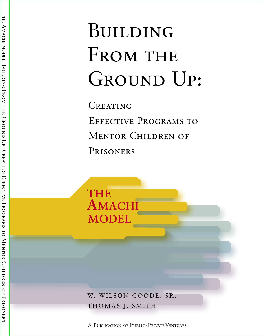# Building FROM THE GROUND UP:

**CREATING** Effective Programs to Mentor Children of **PRISONERS** 

**THE AMACHI MODEL**

W. WILSON GOODE, SR. THOMAS J. SMITH

A Publication of Public/Private Ventures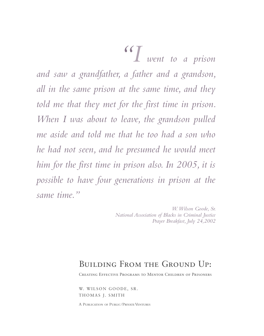# *"I went to a prison*

*and saw a grandfather, a father and a grandson, all in the same prison at the same time, and they told me that they met for the first time in prison. When I was about to leave, the grandson pulled me aside and told me that he too had a son who he had not seen, and he presumed he would meet him for the first time in prison also. In 2005, it is possible to have four generations in prison at the same time."*

> *W. Wilson Goode, Sr. National Association of Blacks in Criminal Justice Prayer Breakfast, July 24,2002*

## BUILDING FROM THE GROUND UP:

Creating Effective Programs to Mentor Children of Prisoners

W. WILSON GOODE, SR. THOMAS J. SMITH

A Publication of Public/Private Ventures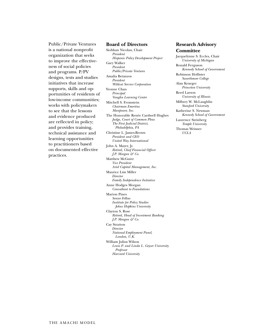Public/Private Ventures is a national nonprofit organization that seeks to improve the effectiveness of social policies and programs. P/PV designs, tests and studies initiatives that increase supports, skills and opportunities of residents of low-income communities; works with policymakers to see that the lessons and evidence produced are reflected in policy; and provides training, technical assistance and learning opportunities to practitioners based on documented effective practices.

#### **Board of Directors**

Siobhan Nicolau, Chair *President Hispanic Policy Development Project* Gary Walker *President Public/Private Ventures* Amalia Betanzos *President Wildcat Service Corporation* Yvonne Chan *Principal Vaughn Learning Center* Mitchell S. Fromstein *Chairman Emeritus Manpower, Inc.* The Honorable Renée Cardwell Hughes *Judge, Court of Common Pleas The First Judicial District, Philadelphia, PA* Christine L. James-Brown *President and CEO United Way International* John A. Mayer, Jr. *Retired, Chief Financial Officer J.P. Morgan & Co.* Matthew McGuire *Vice President Ariel Capital Management, Inc.* Maurice Lim Miller *Director Family Independence Initiative* Anne Hodges Morgan *Consultant to Foundations* Marion Pines *Senior Fellow Institute for Policy Studies Johns Hopkins University* Clayton S. Rose *Retired, Head of Investment Banking J.P. Morgan & Co.* Cay Stratton *Director National Employment Panel, London, U.K.* William Julius Wilson *Lewis P. and Linda L. Geyser University Professor Harvard University*

#### **Research Advisory Committee**

Jacquelynne S. Eccles, Chair *University of Michigan*

Ronald Ferguson *Kennedy School of Government*

Robinson Hollister *Swarthmore College*

Alan Krueger *Princeton University*

Reed Larson *University of Illinois*

Milbrey W. McLaughlin *Stanford University*

Katherine S. Newman *Kennedy School of Government*

Laurence Steinberg *Temple University*

Thomas Weisner *UCLA*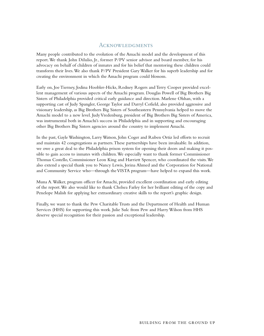#### **ACKNOWLEDGMENTS**

Many people contributed to the evolution of the Amachi model and the development of this report. We thank John DiIulio, Jr., former P/PV senior advisor and board member, for his advocacy on behalf of children of inmates and for his belief that mentoring these children could transform their lives. We also thank P/PV President Gary Walker for his superb leadership and for creating the environment in which the Amachi program could blossom.

Early on, Joe Tierney, Jodina Hoobler-Hicks, Rodney Rogers and Terry Cooper provided excellent management of various aspects of the Amachi program. Douglas Powell of Big Brothers Big Sisters of Philadelphia provided critical early guidance and direction. Marlene Olshan, with a supporting cast of Judy Spangler, George Taylor and Darryl Cofield, also provided aggressive and visionary leadership, as Big Brothers Big Sisters of Southeastern Pennsylvania helped to move the Amachi model to a new level. Judy Vredenburg, president of Big Brothers Big Sisters of America, was instrumental both in Amachi's success in Philadelphia and in supporting and encouraging other Big Brothers Big Sisters agencies around the country to implement Amachi.

In the past, Gayle Washington, Larry Watson, John Coger and Ruben Ortiz led efforts to recruit and maintain 42 congregations as partners. These partnerships have been invaluable. In addition, we owe a great deal to the Philadelphia prison system for opening their doors and making it possible to gain access to inmates with children. We especially want to thank former Commissioner Thomas Costello, Commissioner Leon King and Harriett Spencer, who coordinated the visits. We also extend a special thank you to Nancy Lewis, Jorina Ahmed and the Corporation for National and Community Service who—through the VISTA program—have helped to expand this work.

Muna A. Walker, program officer for Amachi, provided excellent coordination and early editing of the report. We also would like to thank Chelsea Farley for her brilliant editing of the copy and Penelope Malish for applying her extraordinary creative skills to the report's graphic design.

Finally, we want to thank the Pew Charitable Trusts and the Department of Health and Human Services (HHS) for supporting this work. Julie Sulc from Pew and Harry Wilson from HHS deserve special recognition for their passion and exceptional leadership.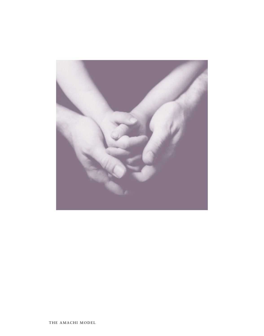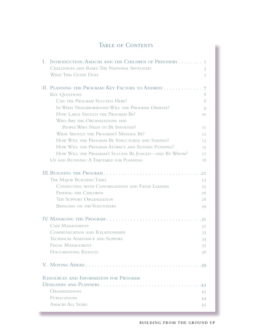## TABLE OF CONTENTS

|  | I. INTRODUCTION: AMACHI AND THE CHILDREN OF PRISONERS I |               |
|--|---------------------------------------------------------|---------------|
|  | CHALLENGES AND RISKS: THE NATIONAL SPOTLIGHT            | 3             |
|  | <b>WHAT THIS GUIDE DOES</b>                             | 5             |
|  | II. PLANNING THE PROGRAM: KEY FACTORS TO ADDRESS 7      |               |
|  | <b>KEY QUESTIONS</b>                                    | $\mathcal{S}$ |
|  | CAN THE PROGRAM SUCCEED HERE?                           | 8             |
|  | IN WHAT NEIGHBORHOODS WILL THE PROGRAM OPERATE?         | $\circ$       |
|  | HOW LARGE SHOULD THE PROGRAM BE?                        | IO            |
|  | WHO ARE THE ORGANIZATIONS AND                           |               |
|  | PEOPLE WHO NEED TO BE INVOLVED?                         | H             |
|  | WHAT SHOULD THE PROGRAM'S MESSAGE BE?                   | <b>I2</b>     |
|  | HOW WILL THE PROGRAM BE STRUCTURED AND STAFFED?         | $I$ 3         |
|  | HOW WILL THE PROGRAM ATTRACT AND SUSTAIN FUNDING?       | I5            |
|  | HOW WILL THE PROGRAM'S SUCCESS BE JUDGED-AND BY WHOM?   | <b>17</b>     |
|  | UP AND RUNNING: A TIMETABLE FOR PLANNING                | 18            |
|  |                                                         | .2I           |
|  | THE MAJOR BUILDING TASKS                                | 23            |
|  | CONNECTING WITH CONGREGATIONS AND FAITH LEADERS         | 23            |
|  | <b>FINDING THE CHILDREN</b>                             | 26            |
|  | THE SUPPORT ORGANIZATION                                | 28            |
|  | <b>BRINGING ON THE VOLUNTEERS</b>                       | 29            |
|  |                                                         |               |
|  | <b>CASE MANAGEMENT</b>                                  | 32            |
|  | <b>COMMUNICATION AND RELATIONSHIPS</b>                  | 33            |
|  | <b>TECHNICAL ASSISTANCE AND SUPPORT</b>                 | 34            |
|  | FISCAL MANAGEMENT                                       | 35            |
|  | <b>DOCUMENTING RESULTS</b>                              | 36            |
|  |                                                         |               |
|  | RESOURCES AND INFORMATION FOR PROGRAM                   |               |
|  |                                                         |               |
|  | <b>ORGANIZATIONS</b>                                    | 43            |
|  | <b>PUBLICATIONS</b>                                     | 44            |
|  | <b>AMACHI ALL STARS</b>                                 | 45            |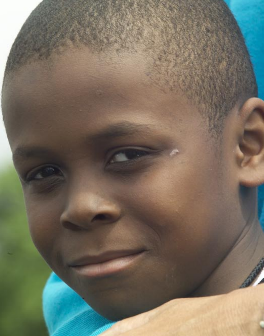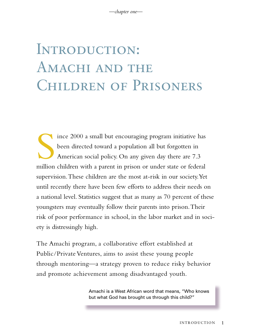## INTRODUCTION: AMACHI AND THE Children of Prisoners

Since 2000 a small but encouraging program initiative has<br>been directed toward a population all but forgotten in<br>American social policy. On any given day there are 7.3 been directed toward a population all but forgotten in American social policy. On any given day there are 7.3 million children with a parent in prison or under state or federal supervision. These children are the most at-risk in our society. Yet until recently there have been few efforts to address their needs on a national level. Statistics suggest that as many as 70 percent of these youngsters may eventually follow their parents into prison. Their risk of poor performance in school, in the labor market and in society is distressingly high.

The Amachi program, a collaborative effort established at Public/Private Ventures, aims to assist these young people through mentoring—a strategy proven to reduce risky behavior and promote achievement among disadvantaged youth.

> Amachi is a West African word that means, "Who knows but what God has brought us through this child?"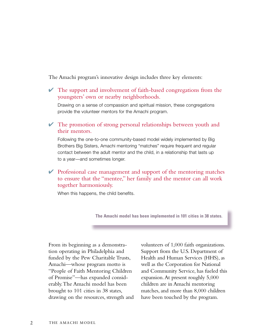The Amachi program's innovative design includes three key elements:

## ✔ The support and involvement of faith-based congregations from the youngsters' own or nearby neighborhoods.

Drawing on a sense of compassion and spiritual mission, these congregations provide the volunteer mentors for the Amachi program.

## ✔ The promotion of strong personal relationships between youth and their mentors.

Following the one-to-one community-based model widely implemented by Big Brothers Big Sisters, Amachi mentoring "matches" require frequent and regular contact between the adult mentor and the child, in a relationship that lasts up to a year—and sometimes longer.

## $\triangledown$  Professional case management and support of the mentoring matches to ensure that the "mentee," her family and the mentor can all work together harmoniously.

When this happens, the child benefits.

**The Amachi model has been implemented in 101 cities in 38 states.**

From its beginning as a demonstration operating in Philadelphia and funded by the Pew Charitable Trusts, Amachi—whose program motto is "People of Faith Mentoring Children of Promise"—has expanded considerably. The Amachi model has been brought to 101 cities in 38 states, drawing on the resources, strength and volunteers of 1,000 faith organizations. Support from the U.S. Department of Health and Human Services (HHS), as well as the Corporation for National and Community Service, has fueled this expansion. At present roughly 5,000 children are in Amachi mentoring matches, and more than 8,000 children have been touched by the program.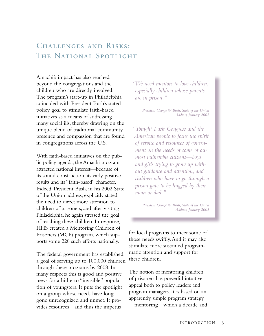## Challenges and Risks: The National Spotlight

Amachi's impact has also reached beyond the congregations and the children who are directly involved. The program's start-up in Philadelphia coincided with President Bush's stated policy goal to stimulate faith-based initiatives as a means of addressing many social ills, thereby drawing on the unique blend of traditional community presence and compassion that are found in congregations across the U.S.

With faith-based initiatives on the public policy agenda, the Amachi program attracted national interest—because of its sound construction, its early positive results and its "faith-based" character. Indeed, President Bush, in his 2002 State of the Union address, explicitly stated the need to direct more attention to children of prisoners, and after visiting Philadelphia, he again stressed the goal of reaching these children. In response, HHS created a Mentoring Children of Prisoners (MCP) program, which supports some 220 such efforts nationally.

The federal government has established a goal of serving up to 100,000 children through these programs by 2008. In many respects this is good and positive news for a hitherto "invisible" population of youngsters. It puts the spotlight on a group whose needs have long gone unrecognized and unmet. It provides resources—and thus the impetus

*"We need mentors to love children, especially children whose parents are in prison."*

> *President George W. Bush, State of the Union Address, January 2002*

*"Tonight I ask Congress and the American people to focus the spirit of service and resources of government on the needs of some of our most vulnerable citizens—boys and girls trying to grow up without guidance and attention, and children who have to go through a prison gate to be hugged by their mom or dad."*

> *President George W. Bush, State of the Union Address, January 2003*

for local programs to meet some of those needs swiftly. And it may also stimulate more sustained programmatic attention and support for these children.

The notion of mentoring children of prisoners has powerful intuitive appeal both to policy leaders and program managers. It is based on an apparently simple program strategy —mentoring—which a decade and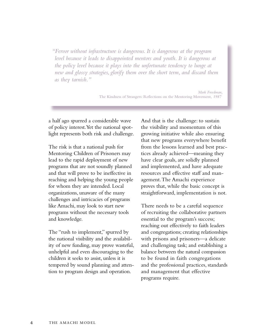*"Fervor without infrastructure is dangerous. It is dangerous at the program level because it leads to disappointed mentors and youth. It is dangerous at the policy level because it plays into the unfortunate tendency to lunge at new and glossy strategies, glorify them over the short term, and discard them as they tarnish."*

> *Mark Freedman,*  The Kindness of Strangers: Reflections on the Mentoring Movement, *1987*

a half ago spurred a considerable wave of policy interest. Yet the national spotlight represents both risk and challenge.

The risk is that a national push for Mentoring Children of Prisoners may lead to the rapid deployment of new programs that are not soundly planned and that will prove to be ineffective in reaching and helping the young people for whom they are intended. Local organizations, unaware of the many challenges and intricacies of programs like Amachi, may look to start new programs without the necessary tools and knowledge.

The "rush to implement," spurred by the national visibility and the availability of new funding, may prove wasteful, unhelpful and even discouraging to the children it seeks to assist, unless it is tempered by sound planning and attention to program design and operation.

And that is the challenge: to sustain the visibility and momentum of this growing initiative while also ensuring that new programs everywhere benefit from the lessons learned and best practices already achieved—meaning they have clear goals, are solidly planned and implemented, and have adequate resources and effective staff and management. The Amachi experience proves that, while the basic concept is straightforward, implementation is not.

There needs to be a careful sequence of recruiting the collaborative partners essential to the program's success; reaching out effectively to faith leaders and congregations; creating relationships with prisons and prisoners—a delicate and challenging task; and establishing a balance between the natural compassion to be found in faith congregations and the professional practices, standards and management that effective programs require.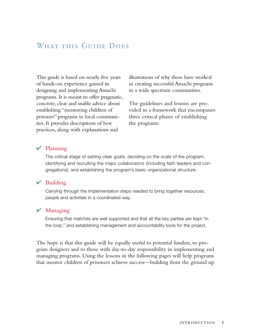## WHAT THIS GUIDE DOES

This guide is based on nearly five years of hands-on experience gained in designing and implementing Amachi programs. It is meant to offer pragmatic, concrete, clear and usable advice about establishing "mentoring children of prisoner" programs in local communities. It provides descriptions of best practices, along with explanations and

illustrations of why these have worked in creating successful Amachi programs in a wide spectrum communities.

The guidelines and lessons are provided in a framework that encompasses three critical phases of establishing the programs:

#### $\vee$  Planning

The critical stage of setting clear goals, deciding on the scale of the program, identifying and recruiting the major collaborators (including faith leaders and congregations), and establishing the program's basic organizational structure.

#### $\vee$  Building

Carrying through the implementation steps needed to bring together resources, people and activities in a coordinated way.

### ✔ Managing

Ensuring that matches are well supported and that all the key parties are kept "in the loop," and establishing management and accountability tools for the project.

The hope is that this guide will be equally useful to potential funders, to program designers and to those with day-to-day responsibility in implementing and managing programs. Using the lessons in the following pages will help programs that mentor children of prisoners achieve success—building from the ground up.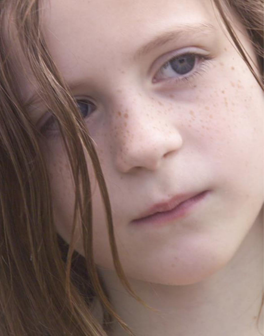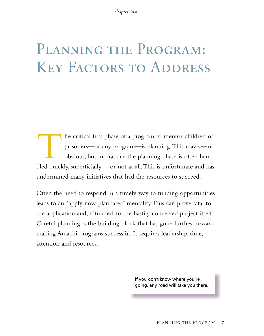## PLANNING THE PROGRAM: Key Factors to Address

The critical first phase of a program to mentor children of<br>prisoners—or any program—is planning. This may seem<br>obvious, but in practice the planning phase is often hanprisoners—or any program—is planning. This may seem obvious, but in practice the planning phase is often handled quickly, superficially —or not at all. This is unfortunate and has undermined many initiatives that had the resources to succeed.

Often the need to respond in a timely way to funding opportunities leads to an "apply now, plan later" mentality. This can prove fatal to the application and, if funded, to the hastily conceived project itself. Careful planning is the building block that has gone furthest toward making Amachi programs successful. It requires leadership, time, attention and resources.

> If you don't know where you're going, any road will take you there.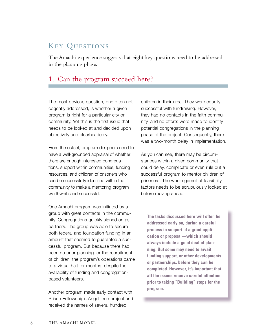## Key Questions

The Amachi experience suggests that eight key questions need to be addressed in the planning phase.

## 1. Can the program succeed here?

The most obvious question, one often not cogently addressed, is whether a given program is right for a particular city or community. Yet this is the first issue that needs to be looked at and decided upon objectively and clearheadedly.

From the outset, program designers need to have a well-grounded appraisal of whether there are enough interested congregations, support within communities, funding resources, and children of prisoners who can be successfully identified within the community to make a mentoring program worthwhile and successful.

One Amachi program was initiated by a group with great contacts in the community. Congregations quickly signed on as partners. The group was able to secure both federal and foundation funding in an amount that seemed to guarantee a successful program. But because there had been no prior planning for the recruitment of children, the program's operations came to a virtual halt for months, despite the availability of funding and congregationbased volunteers.

Another program made early contact with Prison Fellowship's Angel Tree project and received the names of several hundred

children in their area. They were equally successful with fundraising. However, they had no contacts in the faith community, and no efforts were made to identify potential congregations in the planning phase of the project. Consequently, there was a two-month delay in implementation.

As you can see, there may be circumstances within a given community that could delay, complicate or even rule out a successful program to mentor children of prisoners. The whole gamut of feasibility factors needs to be scrupulously looked at before moving ahead.

**The tasks discussed here will often be addressed early on, during a careful process in support of a grant application or proposal—which should always include a good deal of planning. But some may need to await funding support, or other developments or partnerships, before they can be completed. However, it's important that all the issues receive careful attention prior to taking "Building" steps for the program.**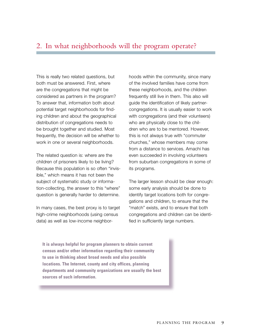## 2. In what neighborhoods will the program operate?

This is really two related questions, but both must be answered. First, where are the congregations that might be considered as partners in the program? To answer that, information both about potential target neighborhoods for finding children and about the geographical distribution of congregations needs to be brought together and studied. Most frequently, the decision will be whether to work in one or several neighborhoods.

The related question is: where are the children of prisoners likely to be living? Because this population is so often "invisible," which means it has not been the subject of systematic study or information-collecting, the answer to this "where" question is generally harder to determine.

In many cases, the best proxy is to target high-crime neighborhoods (using census data) as well as low-income neighborhoods within the community, since many of the involved families have come from these neighborhoods, and the children frequently still live in them. This also will guide the identification of likely partnercongregations. It is usually easier to work with congregations (and their volunteers) who are physically close to the children who are to be mentored. However, this is not always true with "commuter churches," whose members may come from a distance to services. Amachi has even succeeded in involving volunteers from suburban congregations in some of its programs.

The larger lesson should be clear enough: some early analysis should be done to identify target locations both for congregations and children, to ensure that the "match" exists, and to ensure that both congregations and children can be identified in sufficiently large numbers.

**It is always helpful for program planners to obtain current census and/or other information regarding their community to use in thinking about broad needs and also possible locations. The Internet, county and city offices, planning departments and community organizations are usually the best sources of such information.**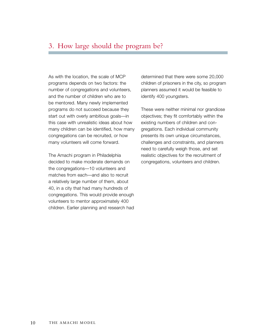## 3. How large should the program be?

As with the location, the scale of MCP programs depends on two factors: the number of congregations and volunteers, and the number of children who are to be mentored. Many newly implemented programs do not succeed because they start out with overly ambitious goals—in this case with unrealistic ideas about how many children can be identified, how many congregations can be recruited, or how many volunteers will come forward.

The Amachi program in Philadelphia decided to make moderate demands on the congregations—10 volunteers and matches from each—and also to recruit a relatively large number of them, about 40, in a city that had many hundreds of congregations. This would provide enough volunteers to mentor approximately 400 children. Earlier planning and research had determined that there were some 20,000 children of prisoners in the city, so program planners assumed it would be feasible to identify 400 youngsters.

These were neither minimal nor grandiose objectives; they fit comfortably within the existing numbers of children and congregations. Each individual community presents its own unique circumstances, challenges and constraints, and planners need to carefully weigh those, and set realistic objectives for the recruitment of congregations, volunteers and children.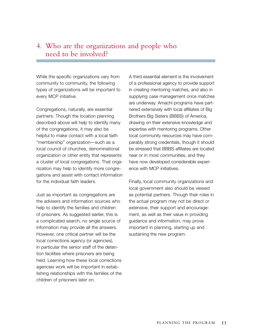## 4. Who are the organizations and people who need to be involved?

While the specific organizations vary from community to community, the following types of organizations will be important to every MCP initiative.

Congregations, naturally, are essential partners. Though the location planning described above will help to identify many of the congregations, it may also be helpful to make contact with a local faith "membership" organization—such as a local council of churches, denominational organization or other entity that represents a cluster of local congregations. That organization may help to identify more congregations and assist with contact information for the individual faith leaders.

Just as important as congregations are the advisers and information sources who help to identify the families and children of prisoners. As suggested earlier, this is a complicated search; no single source of information may provide all the answers. However, one critical partner will be the local corrections agency (or agencies), in particular the senior staff of the detention facilities where prisoners are being held. Learning how these local corrections agencies work will be important in establishing relationships with the families of the children of prisoners later on.

A third essential element is the involvement of a professional agency to provide support in creating mentoring matches, and also in supplying case management once matches are underway. Amachi programs have partnered extensively with local affiliates of Big Brothers Big Sisters (BBBS) of America, drawing on their extensive knowledge and expertise with mentoring programs. Other local community resources may have comparably strong credentials, though it should be stressed that BBBS affiliates are located near or in most communities, and they have now developed considerable experience with MCP initiatives.

Finally, local community organizations and local government also should be viewed as potential partners. Though their roles in the actual program may not be direct or extensive, their support and encouragement, as well as their value in providing guidance and information, may prove important in planning, starting up and sustaining the new program.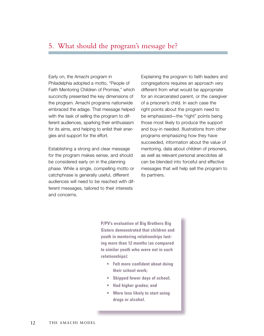## 5. What should the program's message be?

Early on, the Amachi program in Philadelphia adopted a motto, "People of Faith Mentoring Children of Promise," which succinctly presented the key dimensions of the program. Amachi programs nationwide embraced the adage. That message helped with the task of selling the program to different audiences, sparking their enthusiasm for its aims, and helping to enlist their energies and support for the effort.

Establishing a strong and clear message for the program makes sense, and should be considered early on in the planning phase. While a single, compelling motto or catchphrase is generally useful, different audiences will need to be reached with different messages, tailored to their interests and concerns.

Explaining the program to faith leaders and congregations requires an approach very different from what would be appropriate for an incarcerated parent, or the caregiver of a prisoner's child. In each case the right points about the program need to be emphasized—the "right" points being those most likely to produce the support and buy-in needed. Illustrations from other programs emphasizing how they have succeeded, information about the value of mentoring, data about children of prisoners, as well as relevant personal anecdotes all can be blended into forceful and effective messages that will help sell the program to its partners.

**P/PV's evaluation of Big Brothers Big Sisters demonstrated that children and youth in mentoring relationships lasting more than 12 months (as compared to similar youth who were not in such relationships):**

- **Felt more confident about doing their school work;**
- **Skipped fewer days of school;**
- **Had higher grades; and**
- **Were less likely to start using drugs or alcohol.**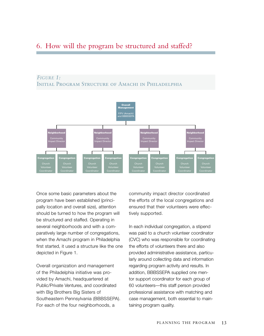## 6. How will the program be structured and staffed?

## *FIGURE 1:*  Initial Program Structure of Amachi in Philadelphia



Once some basic parameters about the program have been established (principally location and overall size), attention should be turned to how the program will be structured and staffed. Operating in several neighborhoods and with a comparatively large number of congregations, when the Amachi program in Philadelphia first started, it used a structure like the one depicted in Figure 1.

Overall organization and management of the Philadelphia initiative was provided by Amachi, headquartered at Public/Private Ventures, and coordinated with Big Brothers Big Sisters of Southeastern Pennsylvania (BBBSSEPA). For each of the four neighborhoods, a

community impact director coordinated the efforts of the local congregations and ensured that their volunteers were effectively supported.

In each individual congregation, a stipend was paid to a church volunteer coordinator (CVC) who was responsible for coordinating the efforts of volunteers there and also provided administrative assistance, particularly around collecting data and information regarding program activity and results. In addition, BBBSSEPA supplied one mentor support coordinator for each group of 60 volunteers—this staff person provided professional assistance with matching and case management, both essential to maintaining program quality.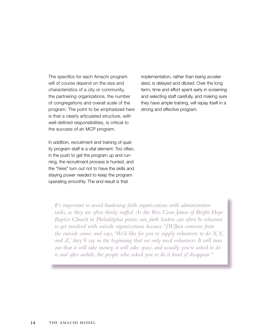The specifics for each Amachi program will of course depend on the size and characteristics of a city or community, the partnering organizations, the number of congregations and overall scale of the program. The point to be emphasized here is that a clearly articulated structure, with well-defined responsibilities, is critical to the success of an MCP program.

In addition, recruitment and training of quality program staff is a vital element. Too often, in the push to get the program up and running, the recruitment process is hurried, and the "hires" turn out not to have the skills and staying power needed to keep the program operating smoothly. The end result is that

implementation, rather than being accelerated, is delayed and diluted. Over the long term, time and effort spent early in screening and selecting staff carefully, and making sure they have ample training, will repay itself in a strong and effective program.

It's important to avoid burdening faith organizations with administrative *tasks, as they are often thinly staffed. As the Rev. Cean James of Bright Hope Baptist Church in Philadelphia points out, faith leaders can often be reluctant to get involved with outside organizations because "[W]hen someone from the outside comes and says, 'We'd like for you to supply volunteers to do X, Y, and Z,' they'll say in the beginning that we only need volunteers. It will turn out that it will take money, it will take space, and usually you're asked to do it and after awhile, the people who asked you to do it kind of disappear."*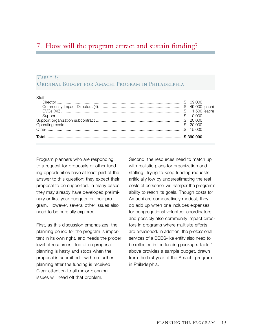## 7. How will the program attract and sustain funding?

### *TABLE 1:*  Original Budget for Amachi Program in Philadelphia

Program planners who are responding to a request for proposals or other funding opportunities have at least part of the answer to this question: they expect their proposal to be supported. In many cases, they may already have developed preliminary or first-year budgets for their program. However, several other issues also need to be carefully explored.

First, as this discussion emphasizes, the planning period for the program is important in its own right, and needs the proper level of resources. Too often proposal planning is hasty and stops when the proposal is submitted—with no further planning after the funding is received. Clear attention to all major planning issues will head off that problem.

Second, the resources need to match up with realistic plans for organization and staffing. Trying to keep funding requests artificially low by underestimating the real costs of personnel will hamper the program's ability to reach its goals. Though costs for Amachi are comparatively modest, they do add up when one includes expenses for congregational volunteer coordinators, and possibly also community impact directors in programs where multisite efforts are envisioned. In addition, the professional services of a BBBS-like entity also need to be reflected in the funding package. Table 1 above provides a sample budget, drawn from the first year of the Amachi program in Philadelphia.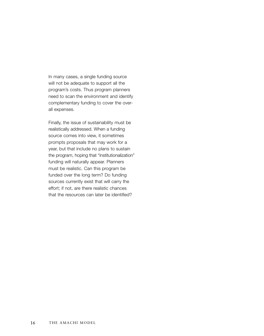In many cases, a single funding source will not be adequate to support all the program's costs. Thus program planners need to scan the environment and identify complementary funding to cover the overall expenses.

Finally, the issue of sustainability must be realistically addressed. When a funding source comes into view, it sometimes prompts proposals that may work for a year, but that include no plans to sustain the program, hoping that "institutionalization" funding will naturally appear. Planners must be realistic. Can this program be funded over the long term? Do funding sources currently exist that will carry the effort; if not, are there realistic chances that the resources can later be identified?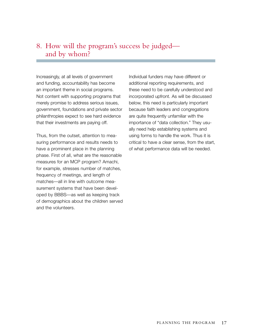## 8. How will the program's success be judged and by whom?

Increasingly, at all levels of government and funding, accountability has become an important theme in social programs. Not content with supporting programs that merely promise to address serious issues, government, foundations and private sector philanthropies expect to see hard evidence that their investments are paying off.

Thus, from the outset, attention to measuring performance and results needs to have a prominent place in the planning phase. First of all, what are the reasonable measures for an MCP program? Amachi, for example, stresses number of matches, frequency of meetings, and length of matches—all in line with outcome measurement systems that have been developed by BBBS—as well as keeping track of demographics about the children served and the volunteers.

Individual funders may have different or additional reporting requirements, and these need to be carefully understood and incorporated upfront. As will be discussed below, this need is particularly important because faith leaders and congregations are quite frequently unfamiliar with the importance of "data collection." They usually need help establishing systems and using forms to handle the work. Thus it is critical to have a clear sense, from the start, of what performance data will be needed.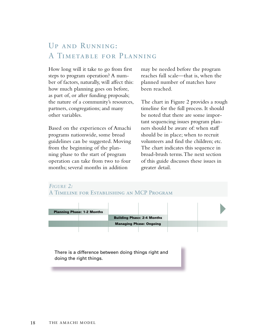## Up and Running: A Timetable for Planning

How long will it take to go from first steps to program operation? A number of factors, naturally, will affect this: how much planning goes on before, as part of, or after funding proposals; the nature of a community's resources, partners, congregations; and many other variables.

Based on the experiences of Amachi programs nationwide, some broad guidelines can be suggested. Moving from the beginning of the planning phase to the start of program operation can take from two to four months; several months in addition

may be needed before the program reaches full scale—that is, when the planned number of matches have been reached.

The chart in Figure 2 provides a rough timeline for the full process. It should be noted that there are some important sequencing issues program planners should be aware of: when staff should be in place; when to recruit volunteers and find the children; etc. The chart indicates this sequence in broad-brush terms. The next section of this guide discusses these issues in greater detail.



There is a difference between doing things right and doing the right things.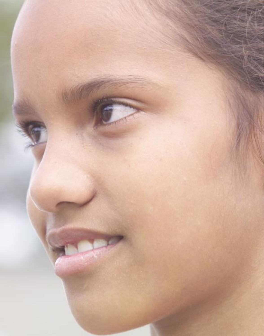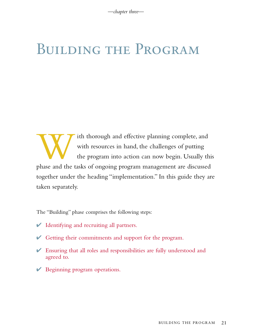## Building the Program

with resources in hand, the challenges of putting<br>the program into action can now begin. Usually the<br>program of the telse of anoning measurement compliances diamond with resources in hand, the challenges of putting the program into action can now begin. Usually this phase and the tasks of ongoing program management are discussed together under the heading "implementation." In this guide they are taken separately.

The "Building" phase comprises the following steps:

- $\vee$  Identifying and recruiting all partners.
- $\vee$  Getting their commitments and support for the program.
- ✔ Ensuring that all roles and responsibilities are fully understood and agreed to.
- $\vee$  Beginning program operations.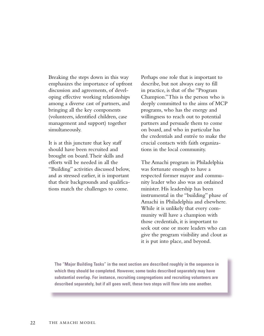Breaking the steps down in this way emphasizes the importance of upfront discussion and agreements, of developing effective working relationships among a diverse cast of partners, and bringing all the key components (volunteers, identified children, case management and support) together simultaneously.

It is at this juncture that key staff should have been recruited and brought on board. Their skills and efforts will be needed in all the "Building" activities discussed below, and as stressed earlier, it is important that their backgrounds and qualifications match the challenges to come.

Perhaps one role that is important to describe, but not always easy to fill in practice, is that of the "Program Champion." This is the person who is deeply committed to the aims of MCP programs, who has the energy and willingness to reach out to potential partners and persuade them to come on board, and who in particular has the credentials and entrée to make the crucial contacts with faith organizations in the local community.

The Amachi program in Philadelphia was fortunate enough to have a respected former mayor and community leader who also was an ordained minister. His leadership has been instrumental in the "building" phase of Amachi in Philadelphia and elsewhere. While it is unlikely that every community will have a champion with those credentials, it is important to seek out one or more leaders who can give the program visibility and clout as it is put into place, and beyond.

**The "Major Building Tasks" in the next section are described roughly in the sequence in which they should be completed. However, some tasks described separately may have substantial overlap. For instance, recruiting congregations and recruiting volunteers are described separately, but if all goes well, these two steps will flow into one another.**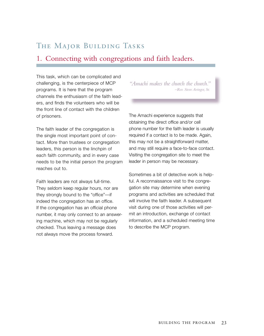## The Major Building Tasks

## 1. Connecting with congregations and faith leaders.

This task, which can be complicated and challenging, is the centerpiece of MCP programs. It is here that the program channels the enthusiasm of the faith leaders, and finds the volunteers who will be the front line of contact with the children of prisoners.

The faith leader of the congregation is the single most important point of contact. More than trustees or congregation leaders, this person is the linchpin of each faith community, and in every case needs to be the initial person the program reaches out to.

Faith leaders are not always full-time. They seldom keep regular hours, nor are they strongly bound to the "office"—if indeed the congregation has an office. If the congregation has an official phone number, it may only connect to an answering machine, which may not be regularly checked. Thus leaving a message does not always move the process forward.

*"Amachi makes the church the church." –Rev. Steve Avinger, Sr.*

The Amachi experience suggests that obtaining the direct office and/or cell phone number for the faith leader is usually required if a contact is to be made. Again, this may not be a straightforward matter, and may still require a face-to-face contact. Visiting the congregation site to meet the leader in person may be necessary.

Sometimes a bit of detective work is helpful. A reconnaissance visit to the congregation site may determine when evening programs and activities are scheduled that will involve the faith leader. A subsequent visit during one of those activities will permit an introduction, exchange of contact information, and a scheduled meeting time to describe the MCP program.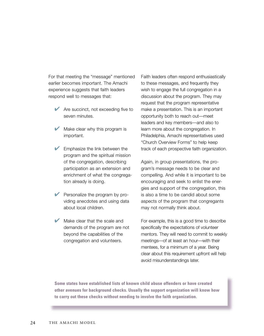For that meeting the "message" mentioned earlier becomes important. The Amachi experience suggests that faith leaders respond well to messages that:

- ◆ Are succinct, not exceeding five to seven minutes.
- $\blacktriangleright$  Make clear why this program is important.
- $\blacktriangleright$  Emphasize the link between the program and the spiritual mission of the congregation, describing participation as an extension and enrichment of what the congregation already is doing.
- $\blacktriangleright$  Personalize the program by providing anecdotes and using data about local children.
- $\blacktriangleright$  Make clear that the scale and demands of the program are not beyond the capabilities of the congregation and volunteers.

Faith leaders often respond enthusiastically to these messages, and frequently they wish to engage the full congregation in a discussion about the program. They may request that the program representative make a presentation. This is an important opportunity both to reach out—meet leaders and key members—and also to learn more about the congregation. In Philadelphia, Amachi representatives used "Church Overview Forms" to help keep track of each prospective faith organization.

Again, in group presentations, the program's message needs to be clear and compelling. And while it is important to be encouraging and seek to enlist the energies and support of the congregation, this is also a time to be candid about some aspects of the program that congregants may not normally think about.

For example, this is a good time to describe specifically the expectations of volunteer mentors. They will need to commit to weekly meetings—of at least an hour—with their mentees, for a minimum of a year. Being clear about this requirement upfront will help avoid misunderstandings later.

**Some states have established lists of known child abuse offenders or have created other avenues for background checks. Usually the support organization will know how to carry out these checks without needing to involve the faith organization.**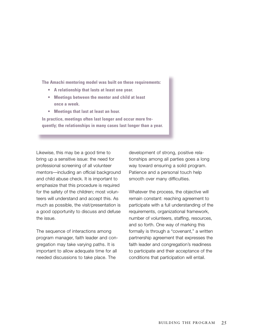**The Amachi mentoring model was built on these requirements:**

- **A relationship that lasts at least one year.**
- **Meetings between the mentor and child at least once a week.**
- **Meetings that last at least an hour.**

**In practice, meetings often last longer and occur more frequently; the relationships in many cases last longer than a year.**

Likewise, this may be a good time to bring up a sensitive issue: the need for professional screening of all volunteer mentors—including an official background and child abuse check. It is important to emphasize that this procedure is required for the safety of the children; most volunteers will understand and accept this. As much as possible, the visit/presentation is a good opportunity to discuss and defuse the issue.

The sequence of interactions among program manager, faith leader and congregation may take varying paths. It is important to allow adequate time for all needed discussions to take place. The

development of strong, positive relationships among all parties goes a long way toward ensuring a solid program. Patience and a personal touch help smooth over many difficulties.

Whatever the process, the objective will remain constant: reaching agreement to participate with a full understanding of the requirements, organizational framework, number of volunteers, staffing, resources, and so forth. One way of marking this formally is through a "covenant," a written partnership agreement that expresses the faith leader and congregation's readiness to participate and their acceptance of the conditions that participation will entail.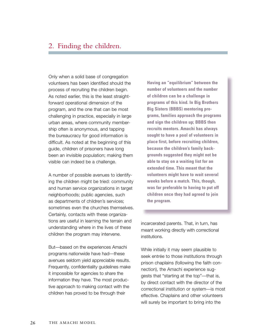## 2. Finding the children.

Only when a solid base of congregation volunteers has been identified should the process of recruiting the children begin. As noted earlier, this is the least straightforward operational dimension of the program, and the one that can be most challenging in practice, especially in large urban areas, where community membership often is anonymous, and tapping the bureaucracy for good information is difficult. As noted at the beginning of this guide, children of prisoners have long been an invisible population; making them visible can indeed be a challenge.

A number of possible avenues to identifying the children might be tried: community and human service organizations in target neighborhoods; public agencies, such as departments of children's services; sometimes even the churches themselves. Certainly, contacts with these organizations are useful in learning the terrain and understanding where in the lives of these children the program may intervene.

But—based on the experiences Amachi programs nationwide have had—these avenues seldom yield appreciable results. Frequently, confidentiality guidelines make it impossible for agencies to share the information they have. The most productive approach to making contact with the children has proved to be through their

**Having an "equilibrium" between the number of volunteers and the number of children can be a challenge in programs of this kind. In Big Brothers Big Sisters (BBBS) mentoring programs, families approach the programs and sign the children up; BBBS then recruits mentors. Amachi has always sought to have a pool of volunteers in place first, before recruiting children, because the children's family backgrounds suggested they might not be able to stay on a waiting list for an extended time. This meant that the volunteers might have to wait several weeks before a match. This, though, was far preferable to having to put off children once they had agreed to join the program.**

incarcerated parents. That, in turn, has meant working directly with correctional institutions.

While initially it may seem plausible to seek entrée to those institutions through prison chaplains (following the faith connection), the Amachi experience suggests that "starting at the top"—that is, by direct contact with the director of the correctional institution or system—is most effective. Chaplains and other volunteers will surely be important to bring into the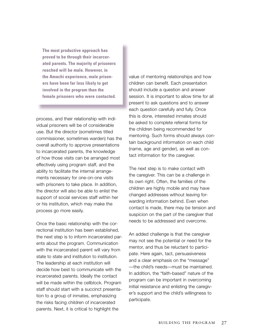**The most productive approach has proved to be through their incarcerated parents. The majority of prisoners reached will be male. However, in the Amachi experience, male prisoners have been far less likely to get involved in the program than the female prisoners who were contacted.**

process, and their relationship with individual prisoners will be of considerable use. But the director (sometimes titled commissioner, sometimes warden) has the overall authority to approve presentations to incarcerated parents, the knowledge of how those visits can be arranged most effectively using program staff, and the ability to facilitate the internal arrangements necessary for one-on-one visits with prisoners to take place. In addition, the director will also be able to enlist the support of social services staff within her or his institution, which may make the process go more easily.

Once the basic relationship with the correctional institution has been established, the next step is to inform incarcerated parents about the program. Communication with the incarcerated parent will vary from state to state and institution to institution. The leadership at each institution will decide how best to communicate with the incarcerated parents. Ideally the contact will be made within the cellblock. Program staff should start with a succinct presentation to a group of inmates, emphasizing the risks facing children of incarcerated parents. Next, it is critical to highlight the

value of mentoring relationships and how children can benefit. Each presentation should include a question and answer session. It is important to allow time for all present to ask questions and to answer each question carefully and fully. Once this is done, interested inmates should be asked to complete referral forms for the children being recommended for mentoring. Such forms should always contain background information on each child (name, age and gender), as well as contact information for the caregiver.

The next step is to make contact with the caregiver. This can be a challenge in its own right. Often, the families of the children are highly mobile and may have changed addresses without leaving forwarding information behind. Even when contact is made, there may be tension and suspicion on the part of the caregiver that needs to be addressed and overcome.

An added challenge is that the caregiver may not see the potential or need for the mentor, and thus be reluctant to participate. Here again, tact, persuasiveness and a clear emphasis on the "message" —the child's needs—must be maintained. In addition, the "faith-based" nature of the program can be important in overcoming initial resistance and enlisting the caregiver's support and the child's willingness to participate.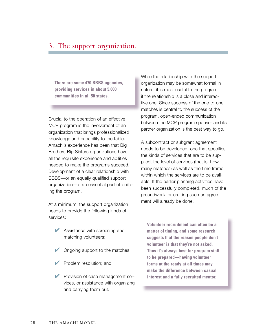## 3. The support organization.

**There are some 470 BBBS agencies, providing services in about 5,000 communities in all 50 states.**

Crucial to the operation of an effective MCP program is the involvement of an organization that brings professionalized knowledge and capability to the table. Amachi's experience has been that Big Brothers Big Sisters organizations have all the requisite experience and abilities needed to make the programs succeed. Development of a clear relationship with BBBS—or an equally qualified support organization—is an essential part of building the program.

At a minimum, the support organization needs to provide the following kinds of services:

- $\blacktriangleright$  Assistance with screening and matching volunteers;
- Ongoing support to the matches;
- $\blacktriangleright$  Problem resolution; and
- **Provision of case management ser**vices, or assistance with organizing and carrying them out.

While the relationship with the support organization may be somewhat formal in nature, it is most useful to the program if the relationship is a close and interactive one. Since success of the one-to-one matches is central to the success of the program, open-ended communication between the MCP program sponsor and its partner organization is the best way to go.

A subcontract or subgrant agreement needs to be developed: one that specifies the kinds of services that are to be supplied, the level of services (that is, how many matches) as well as the time frame within which the services are to be available. If the earlier planning activities have been successfully completed, much of the groundwork for crafting such an agreement will already be done.

**Volunteer recruitment can often be a matter of timing, and some research suggests that the reason people don't volunteer is that they're not asked. Thus it's always best for program staff to be prepared—having volunteer forms at the ready at all times may make the difference between casual interest and a fully recruited mentor.**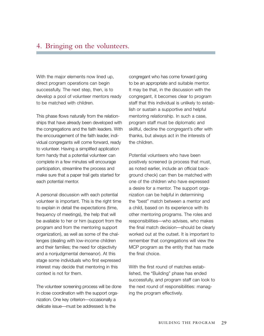## 4. Bringing on the volunteers.

With the major elements now lined up. direct program operations can begin successfully. The next step, then, is to develop a pool of volunteer mentors ready to be matched with children.

This phase flows naturally from the relationships that have already been developed with the congregations and the faith leaders. With the encouragement of the faith leader, individual congregants will come forward, ready to volunteer. Having a simplified application form handy that a potential volunteer can complete in a few minutes will encourage participation, streamline the process and make sure that a paper trail gets started for each potential mentor.

A personal discussion with each potential volunteer is important. This is the right time to explain in detail the expectations (time, frequency of meetings), the help that will be available to her or him (support from the program and from the mentoring support organization), as well as some of the challenges (dealing with low-income children and their families; the need for objectivity and a nonjudgmental demeanor). At this stage some individuals who first expressed interest may decide that mentoring in this context is not for them.

The volunteer screening process will be done in close coordination with the support organization. One key criterion—occasionally a delicate issue—must be addressed: Is the

congregant who has come forward going to be an appropriate and suitable mentor. It may be that, in the discussion with the congregant, it becomes clear to program staff that this individual is unlikely to establish or sustain a supportive and helpful mentoring relationship. In such a case, program staff must be diplomatic and skillful, decline the congregant's offer with thanks, but always act in the interests of the children.

Potential volunteers who have been positively screened (a process that must, as noted earlier, include an official background check) can then be matched with one of the children who have expressed a desire for a mentor. The support organization can be helpful in determining the "best" match between a mentor and a child, based on its experience with its other mentoring programs. The roles and responsibilities—who advises, who makes the final match decision—should be clearly worked out at the outset. It is important to remember that congregations will view the MCP program as the entity that has made the final choice.

With the first round of matches established, the "Building" phase has ended successfully, and program staff can look to the next round of responsibilities: managing the program effectively.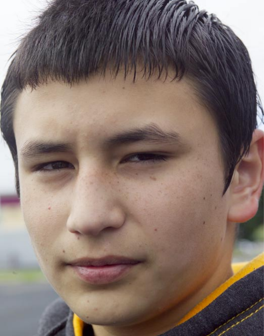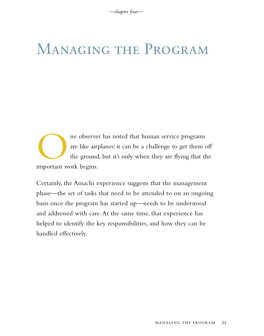## Managing the Program

ne observer has noted that human service programs<br>are like airplanes: it can be a challenge to get them c<br>the ground, but it's only when they are flying that the<br>important work begins. are like airplanes: it can be a challenge to get them off the ground, but it's only when they are flying that the important work begins.

Certainly, the Amachi experience suggests that the management phase—the set of tasks that need to be attended to on an ongoing basis once the program has started up—needs to be understood and addressed with care. At the same time, that experience has helped to identify the key responsibilities, and how they can be handled effectively.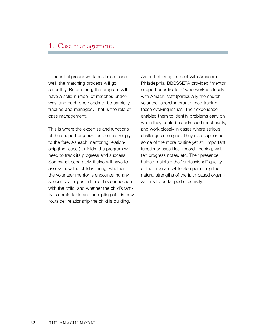## 1. Case management.

If the initial groundwork has been done well, the matching process will go smoothly. Before long, the program will have a solid number of matches underway, and each one needs to be carefully tracked and managed. That is the role of case management.

This is where the expertise and functions of the support organization come strongly to the fore. As each mentoring relationship (the "case") unfolds, the program will need to track its progress and success. Somewhat separately, it also will have to assess how the child is faring, whether the volunteer mentor is encountering any special challenges in her or his connection with the child, and whether the child's family is comfortable and accepting of this new, "outside" relationship the child is building.

As part of its agreement with Amachi in Philadelphia, BBBSSEPA provided "mentor support coordinators" who worked closely with Amachi staff (particularly the church volunteer coordinators) to keep track of these evolving issues. Their experience enabled them to identify problems early on when they could be addressed most easily, and work closely in cases where serious challenges emerged. They also supported some of the more routine yet still important functions: case files, record-keeping, written progress notes, etc. Their presence helped maintain the "professional" quality of the program while also permitting the natural strengths of the faith-based organizations to be tapped effectively.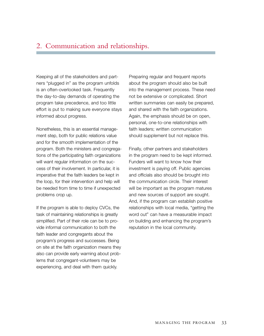## 2. Communication and relationships.

Keeping all of the stakeholders and partners "plugged in" as the program unfolds is an often-overlooked task. Frequently the day-to-day demands of operating the program take precedence, and too little effort is put to making sure everyone stays informed about progress.

Nonetheless, this is an essential management step, both for public relations value and for the smooth implementation of the program. Both the ministers and congregations of the participating faith organizations will want regular information on the success of their involvement. In particular, it is imperative that the faith leaders be kept in the loop, for their intervention and help will be needed from time to time if unexpected problems crop up.

If the program is able to deploy CVCs, the task of maintaining relationships is greatly simplified. Part of their role can be to provide informal communication to both the faith leader and congregants about the program's progress and successes. Being on site at the faith organization means they also can provide early warning about problems that congregant-volunteers may be experiencing, and deal with them quickly.

Preparing regular and frequent reports about the program should also be built into the management process. These need not be extensive or complicated. Short written summaries can easily be prepared, and shared with the faith organizations. Again, the emphasis should be on open, personal, one-to-one relationships with faith leaders; written communication should supplement but not replace this.

Finally, other partners and stakeholders in the program need to be kept informed. Funders will want to know how their investment is paying off. Public agencies and officials also should be brought into the communication circle. Their interest will be important as the program matures and new sources of support are sought. And, if the program can establish positive relationships with local media, "getting the word out" can have a measurable impact on building and enhancing the program's reputation in the local community.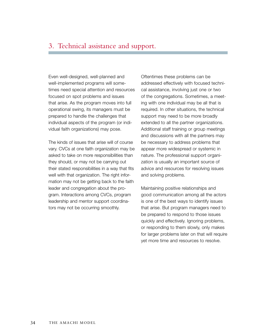## 3. Technical assistance and support.

Even well-designed, well-planned and well-implemented programs will sometimes need special attention and resources focused on spot problems and issues that arise. As the program moves into full operational swing, its managers must be prepared to handle the challenges that individual aspects of the program (or individual faith organizations) may pose.

The kinds of issues that arise will of course vary. CVCs at one faith organization may be asked to take on more responsibilities than they should, or may not be carrying out their stated responsibilities in a way that fits well with that organization. The right information may not be getting back to the faith leader and congregation about the program. Interactions among CVCs, program leadership and mentor support coordinators may not be occurring smoothly.

Oftentimes these problems can be addressed effectively with focused technical assistance, involving just one or two of the congregations. Sometimes, a meeting with one individual may be all that is required. In other situations, the technical support may need to be more broadly extended to all the partner organizations. Additional staff training or group meetings and discussions with all the partners may be necessary to address problems that appear more widespread or systemic in nature. The professional support organization is usually an important source of advice and resources for resolving issues and solving problems.

Maintaining positive relationships and good communication among all the actors is one of the best ways to identify issues that arise. But program managers need to be prepared to respond to those issues quickly and effectively. Ignoring problems, or responding to them slowly, only makes for larger problems later on that will require yet more time and resources to resolve.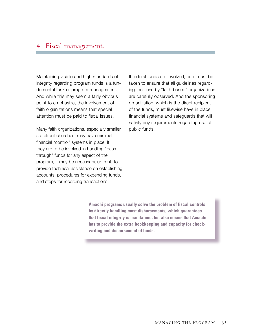## 4. Fiscal management.

Maintaining visible and high standards of integrity regarding program funds is a fundamental task of program management. And while this may seem a fairly obvious point to emphasize, the involvement of faith organizations means that special attention must be paid to fiscal issues.

Many faith organizations, especially smaller, storefront churches, may have minimal financial "control" systems in place. If they are to be involved in handling "passthrough" funds for any aspect of the program, it may be necessary, upfront, to provide technical assistance on establishing accounts, procedures for expending funds, and steps for recording transactions.

If federal funds are involved, care must be taken to ensure that all guidelines regarding their use by "faith-based" organizations are carefully observed. And the sponsoring organization, which is the direct recipient of the funds, must likewise have in place financial systems and safeguards that will satisfy any requirements regarding use of public funds.

**Amachi programs usually solve the problem of fiscal controls by directly handling most disbursements, which guarantees that fiscal integrity is maintained, but also means that Amachi has to provide the extra bookkeeping and capacity for checkwriting and disbursement of funds.**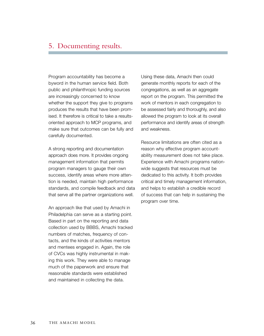## 5. Documenting results.

Program accountability has become a byword in the human service field. Both public and philanthropic funding sources are increasingly concerned to know whether the support they give to programs produces the results that have been promised. It therefore is critical to take a resultsoriented approach to MCP programs, and make sure that outcomes can be fully and carefully documented.

A strong reporting and documentation approach does more. It provides ongoing management information that permits program managers to gauge their own success, identify areas where more attention is needed, maintain high performance standards, and compile feedback and data that serve all the partner organizations well.

An approach like that used by Amachi in Philadelphia can serve as a starting point. Based in part on the reporting and data collection used by BBBS, Amachi tracked numbers of matches, frequency of contacts, and the kinds of activities mentors and mentees engaged in. Again, the role of CVCs was highly instrumental in making this work. They were able to manage much of the paperwork and ensure that reasonable standards were established and maintained in collecting the data.

Using these data, Amachi then could generate monthly reports for each of the congregations, as well as an aggregate report on the program. This permitted the work of mentors in each congregation to be assessed fairly and thoroughly, and also allowed the program to look at its overall performance and identify areas of strength and weakness.

Resource limitations are often cited as a reason why effective program accountability measurement does not take place. Experience with Amachi programs nationwide suggests that resources must be dedicated to this activity. It both provides critical and timely management information, and helps to establish a credible record of success that can help in sustaining the program over time.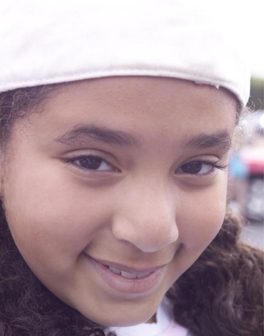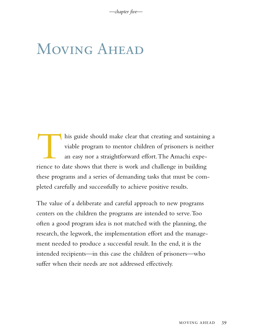## MOVING AHEAD

This guide should make clear that creating and sustaining a viable program to mentor children of prisoners is neither an easy nor a straightforward effort. The Amachi experience to data shows that there is work and shellag viable program to mentor children of prisoners is neither an easy nor a straightforward effort. The Amachi experience to date shows that there is work and challenge in building these programs and a series of demanding tasks that must be completed carefully and successfully to achieve positive results.

The value of a deliberate and careful approach to new programs centers on the children the programs are intended to serve. Too often a good program idea is not matched with the planning, the research, the legwork, the implementation effort and the management needed to produce a successful result. In the end, it is the intended recipients—in this case the children of prisoners—who suffer when their needs are not addressed effectively.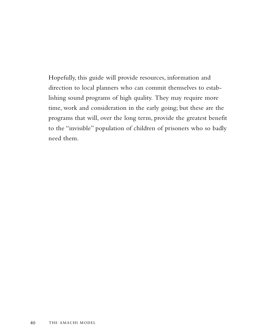Hopefully, this guide will provide resources, information and direction to local planners who can commit themselves to establishing sound programs of high quality. They may require more time, work and consideration in the early going; but these are the programs that will, over the long term, provide the greatest benefit to the "invisible" population of children of prisoners who so badly need them.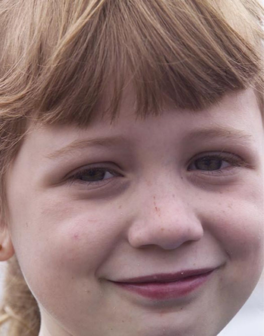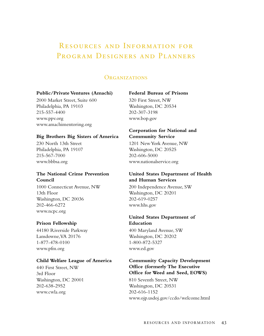## Resources and Information for Program Designers and Planners

### **ORGANIZATIONS**

#### **Public/Private Ventures (Amachi)**

2000 Market Street, Suite 600 Philadelphia, PA 19103 215-557-4400 www.ppv.org www.amachimentoring.org

#### **Big Brothers Big Sisters of America**

230 North 13th Street Philadelphia, PA 19107 215-567-7000 www.bbbsa.org

### **The National Crime Prevention Council**

1000 Connecticut Avenue, NW 13th Floor Washington, DC 20036 202-466-6272 www.ncpc.org

#### **Prison Fellowship**

44180 Riverside Parkway Lansdowne, VA 20176 1-877-478-0100 www.pfm.org

#### **Child Welfare League of America**

440 First Street, NW 3rd Floor Washington, DC 20001 202-638-2952 www.cwla.org

#### **Federal Bureau of Prisons**

320 First Street, NW Washington, DC 20534 202-307-3198 www.bop.gov

### **Corporation for National and Community Service**

1201 New York Avenue, NW Washington, DC 20525 202-606-5000 www.nationalservice.org

#### **United States Department of Health and Human Services**

200 Independence Avenue, SW Washington, DC 20201 202-619-0257 www.hhs.gov

#### **United States Department of Education**

400 Maryland Avenue, SW Washington, DC 20202 1-800-872-5327 www.ed.gov

#### **Community Capacity Development Office (formerly The Executive Office for Weed and Seed, EOWS)**

810 Seventh Street, NW Washington, DC 20531 202-616-1152 www.ojp.usdoj.gov/ccdo/welcome.html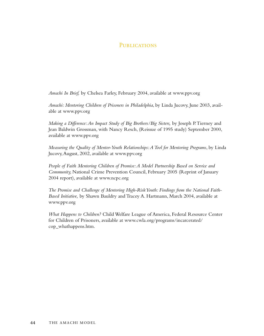### **PUBLICATIONS**

*Amachi In Brief,* by Chelsea Farley, February 2004, available at www.ppv.org

*Amachi: Mentoring Children of Prisoners in Philadelphia*, by Linda Jucovy, June 2003, available at www.ppv.org

*Making a Difference: An Impact Study of Big Brothers/Big Sisters,* by Joseph P. Tierney and Jean Baldwin Grossman, with Nancy Resch, (Reissue of 1995 study) September 2000, available at www.ppv.org

*Measuring the Quality of Mentor-Youth Relationships: A Tool for Mentoring Programs*, by Linda Jucovy, August, 2002, available at www.ppv.org

*People of Faith Mentoring Children of Promise: A Model Partnership Based on Service and Community,* National Crime Prevention Council, February 2005 (Reprint of January 2004 report), available at www.ncpc.org

*The Promise and Challenge of Mentoring High-Risk Youth: Findings from the National Faith-Based Initiative,* by Shawn Bauldry and Tracey A. Hartmann, March 2004, available at www.ppv.org

*What Happens to Children?* Child Welfare League of America, Federal Resource Center for Children of Prisoners, available at www.cwla.org/programs/incarcerated/ cop\_whathappens.htm.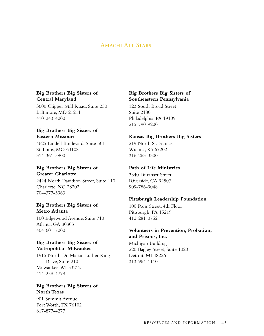## AMACHI ALL STARS

#### **Big Brothers Big Sisters of Central Maryland**

3600 Clipper Mill Road, Suite 250 Baltimore, MD 21211 410-243-4000

#### **Big Brothers Big Sisters of Eastern Missouri**

4625 Lindell Boulevard, Suite 501 St. Louis, MO 63108 314-361-5900

#### **Big Brothers Big Sisters of Greater Charlotte**

2424 North Davidson Street, Suite 110 Charlotte, NC 28202 704-377-3963

#### **Big Brothers Big Sisters of Metro Atlanta**

100 Edgewood Avenue, Suite 710 Atlanta, GA 30303 404-601-7000

#### **Big Brothers Big Sisters of Metropolitan Milwaukee**

1915 North Dr. Martin Luther King Drive, Suite 210 Milwaukee, WI 53212 414-258-4778

### **Big Brothers Big Sisters of North Texas**

901 Summit Avenue Fort Worth, TX 76102 817-877-4277

#### **Big Brothers Big Sisters of Southeastern Pennsylvania**

123 South Broad Street Suite 2180 Philadelphia, PA 19109 215-790-9200

#### **Kansas Big Brothers Big Sisters**

219 North St. Francis Wichita, KS 67202 316-263-3300

#### **Path of Life Ministries**

3340 Durahart Street Riverside, CA 92507 909-786-9048

#### **Pittsburgh Leadership Foundation**

100 Ross Street, 4th Floor Pittsburgh, PA 15219 412-281-3752

#### **Volunteers in Prevention, Probation, and Prisons, Inc.**

Michigan Building 220 Bagley Street, Suite 1020 Detroit, MI 48226 313-964-1110